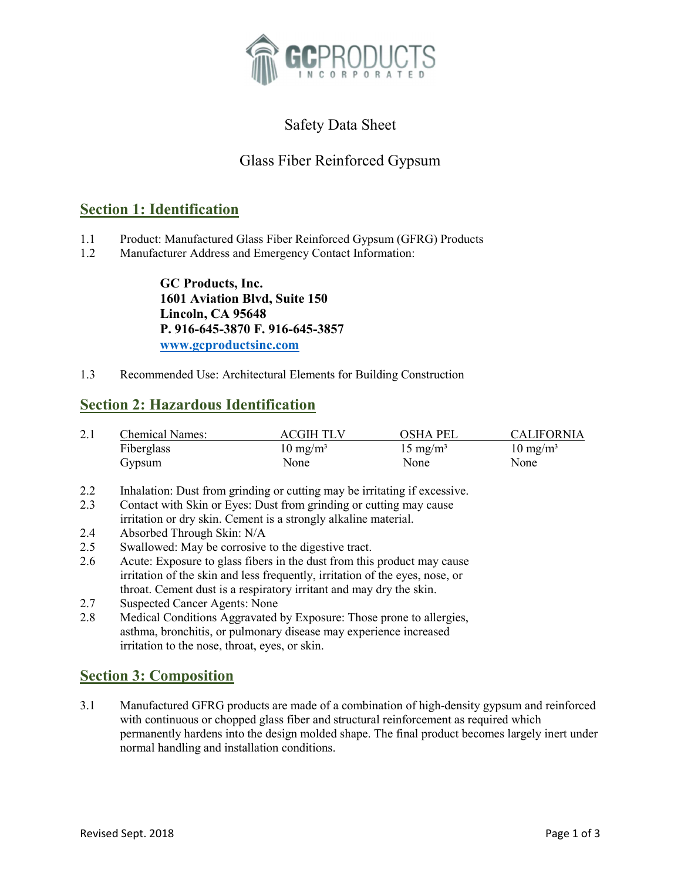

# Safety Data Sheet

# Glass Fiber Reinforced Gypsum

## Section 1: Identification

- 1.1 Product: Manufactured Glass Fiber Reinforced Gypsum (GFRG) Products
- 1.2 Manufacturer Address and Emergency Contact Information:

GC Products, Inc. 1601 Aviation Blvd, Suite 150 Lincoln, CA 95648 P. 916-645-3870 F. 916-645-3857 www.gcproductsinc.com

1.3 Recommended Use: Architectural Elements for Building Construction

## Section 2: Hazardous Identification

| 2.1 | Chemical Names: | <b>ACGIH TLV</b>    | OSHA PEL            | <b>CALIFORNIA</b>   |
|-----|-----------------|---------------------|---------------------|---------------------|
|     | Fiberglass      | $10 \text{ mg/m}^3$ | $15 \text{ mg/m}^3$ | $10 \text{ mg/m}^3$ |
|     | Gypsum          | None                | None                | None                |

- 2.2 Inhalation: Dust from grinding or cutting may be irritating if excessive.
- 2.3 Contact with Skin or Eyes: Dust from grinding or cutting may cause irritation or dry skin. Cement is a strongly alkaline material.
- 2.4 Absorbed Through Skin: N/A
- 2.5 Swallowed: May be corrosive to the digestive tract.
- 2.6 Acute: Exposure to glass fibers in the dust from this product may cause irritation of the skin and less frequently, irritation of the eyes, nose, or throat. Cement dust is a respiratory irritant and may dry the skin.
- 2.7 Suspected Cancer Agents: None
- 2.8 Medical Conditions Aggravated by Exposure: Those prone to allergies, asthma, bronchitis, or pulmonary disease may experience increased irritation to the nose, throat, eyes, or skin.

## Section 3: Composition

3.1 Manufactured GFRG products are made of a combination of high-density gypsum and reinforced with continuous or chopped glass fiber and structural reinforcement as required which permanently hardens into the design molded shape. The final product becomes largely inert under normal handling and installation conditions.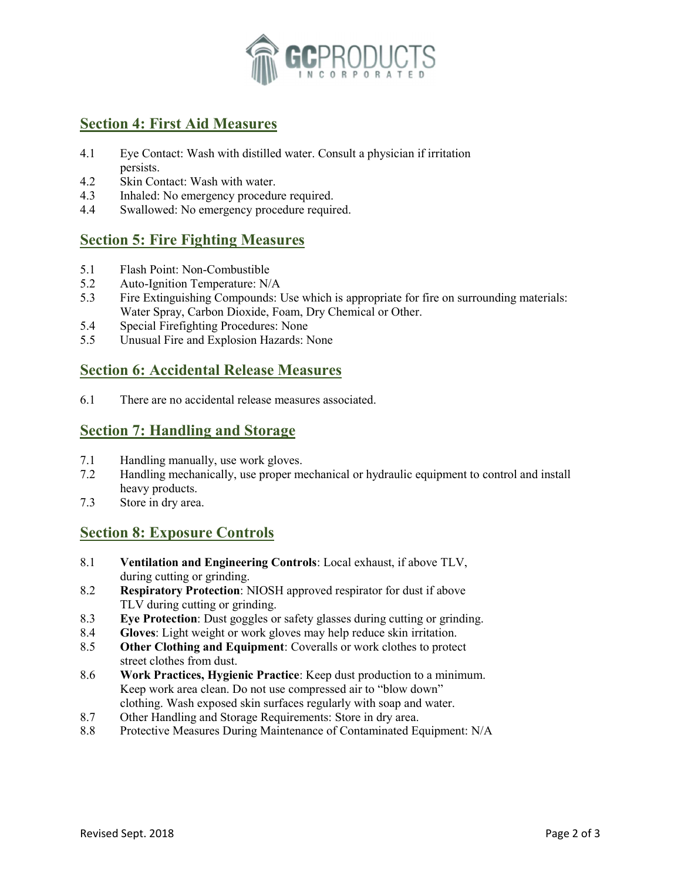

# Section 4: First Aid Measures

- 4.1 Eye Contact: Wash with distilled water. Consult a physician if irritation persists.
- 4.2 Skin Contact: Wash with water.
- 4.3 Inhaled: No emergency procedure required.
- 4.4 Swallowed: No emergency procedure required.

#### Section 5: Fire Fighting Measures

- 5.1 Flash Point: Non-Combustible
- 5.2 Auto-Ignition Temperature: N/A
- 5.3 Fire Extinguishing Compounds: Use which is appropriate for fire on surrounding materials: Water Spray, Carbon Dioxide, Foam, Dry Chemical or Other.
- 5.4 Special Firefighting Procedures: None
- 5.5 Unusual Fire and Explosion Hazards: None

## Section 6: Accidental Release Measures

6.1 There are no accidental release measures associated.

#### Section 7: Handling and Storage

- 7.1 Handling manually, use work gloves.
- 7.2 Handling mechanically, use proper mechanical or hydraulic equipment to control and install heavy products.
- 7.3 Store in dry area.

#### Section 8: Exposure Controls

- 8.1 Ventilation and Engineering Controls: Local exhaust, if above TLV, during cutting or grinding.
- 8.2 Respiratory Protection: NIOSH approved respirator for dust if above TLV during cutting or grinding.
- 8.3 Eye Protection: Dust goggles or safety glasses during cutting or grinding.
- 8.4 Gloves: Light weight or work gloves may help reduce skin irritation.
- 8.5 Other Clothing and Equipment: Coveralls or work clothes to protect street clothes from dust.
- 8.6 Work Practices, Hygienic Practice: Keep dust production to a minimum. Keep work area clean. Do not use compressed air to "blow down" clothing. Wash exposed skin surfaces regularly with soap and water.
- 8.7 Other Handling and Storage Requirements: Store in dry area.
- 8.8 Protective Measures During Maintenance of Contaminated Equipment: N/A